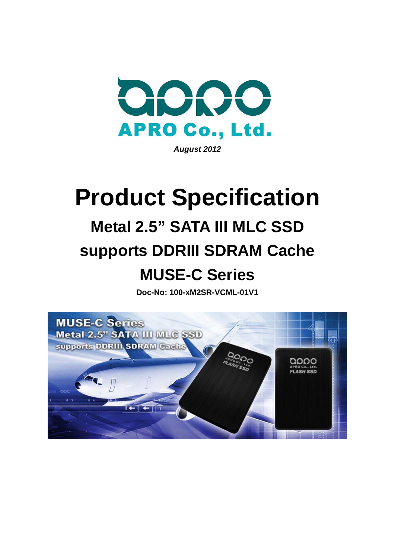

*August 2012* 

# **Product Specification Metal 2.5" SATA III MLC SSD supports DDRIII SDRAM Cache MUSE-C Series**

**Doc-No: 100-xM2SR-VCML-01V1** 

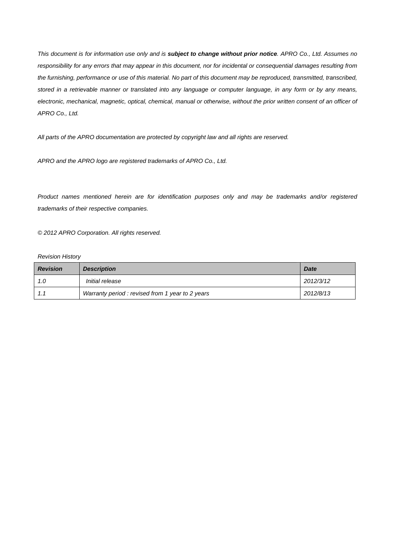*This document is for information use only and is subject to change without prior notice. APRO Co., Ltd. Assumes no responsibility for any errors that may appear in this document, nor for incidental or consequential damages resulting from*  the furnishing, performance or use of this material. No part of this document may be reproduced, transmitted, transcribed, *stored in a retrievable manner or translated into any language or computer language, in any form or by any means,*  electronic, mechanical, magnetic, optical, chemical, manual or otherwise, without the prior written consent of an officer of *APRO Co., Ltd.* 

*All parts of the APRO documentation are protected by copyright law and all rights are reserved.* 

*APRO and the APRO logo are registered trademarks of APRO Co., Ltd.* 

*Product names mentioned herein are for identification purposes only and may be trademarks and/or registered trademarks of their respective companies.* 

*© 2012 APRO Corporation. All rights reserved.* 

#### *Revision History*

| <b>Revision</b> | <b>Description</b>                              | <b>Date</b> |
|-----------------|-------------------------------------------------|-------------|
| 1.0             | <i>Initial release</i>                          | 2012/3/12   |
| 1.1             | Warranty period: revised from 1 year to 2 years | 2012/8/13   |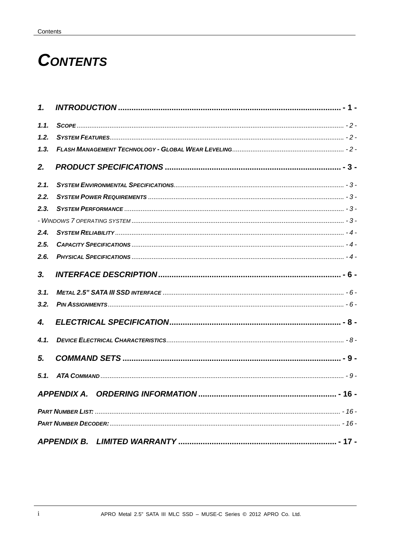## **CONTENTS**

| $\mathbf{1}$ |                    |  |
|--------------|--------------------|--|
| 1.1.         |                    |  |
| 1.2.         |                    |  |
| 1.3.         |                    |  |
| 2.           |                    |  |
| 2.1.         |                    |  |
| 2.2.         |                    |  |
| 2.3.         |                    |  |
|              |                    |  |
| 2.4.         |                    |  |
| 2.5.         |                    |  |
| 2.6.         |                    |  |
| 3.           |                    |  |
| 3.1.         |                    |  |
| 3.2.         |                    |  |
| 4.           |                    |  |
| 4.1.         |                    |  |
| 5.           |                    |  |
| 5.1.         |                    |  |
|              | APPENDIX A.        |  |
|              |                    |  |
|              |                    |  |
|              | <b>APPENDIX B.</b> |  |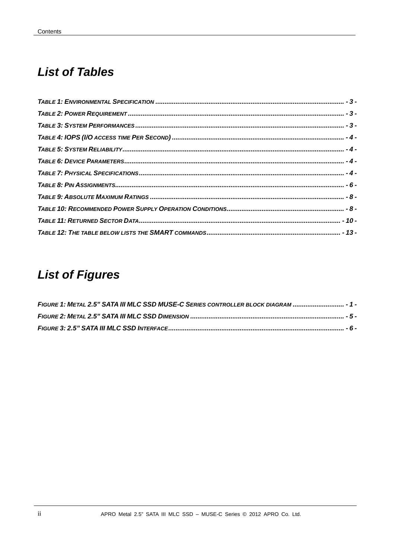## **List of Tables**

## **List of Figures**

| FIGURE 1: METAL 2.5" SATA III MLC SSD MUSE-C SERIES CONTROLLER BLOCK DIAGRAM  - 1 |  |
|-----------------------------------------------------------------------------------|--|
|                                                                                   |  |
|                                                                                   |  |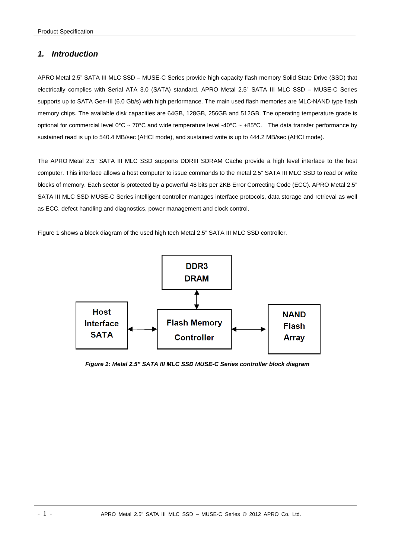### <span id="page-4-0"></span>*1. Introduction*

APRO Metal 2.5" SATA III MLC SSD – MUSE-C Series provide high capacity flash memory Solid State Drive (SSD) that electrically complies with Serial ATA 3.0 (SATA) standard. APRO Metal 2.5" SATA III MLC SSD – MUSE-C Series supports up to SATA Gen-III (6.0 Gb/s) with high performance. The main used flash memories are MLC-NAND type flash memory chips. The available disk capacities are 64GB, 128GB, 256GB and 512GB. The operating temperature grade is optional for commercial level  $0^{\circ}C \sim 70^{\circ}C$  and wide temperature level -40°C ~ +85°C. The data transfer performance by sustained read is up to 540.4 MB/sec (AHCI mode), and sustained write is up to 444.2 MB/sec (AHCI mode).

The APRO Metal 2.5" SATA III MLC SSD supports DDRIII SDRAM Cache provide a high level interface to the host computer. This interface allows a host computer to issue commands to the metal 2.5" SATA III MLC SSD to read or write blocks of memory. Each sector is protected by a powerful 48 bits per 2KB Error Correcting Code (ECC). APRO Metal 2.5" SATA III MLC SSD MUSE-C Series intelligent controller manages interface protocols, data storage and retrieval as well as ECC, defect handling and diagnostics, power management and clock control.

Figure 1 shows a block diagram of the used high tech Metal 2.5" SATA III MLC SSD controller.



*Figure 1: Metal 2.5" SATA III MLC SSD MUSE-C Series controller block diagram*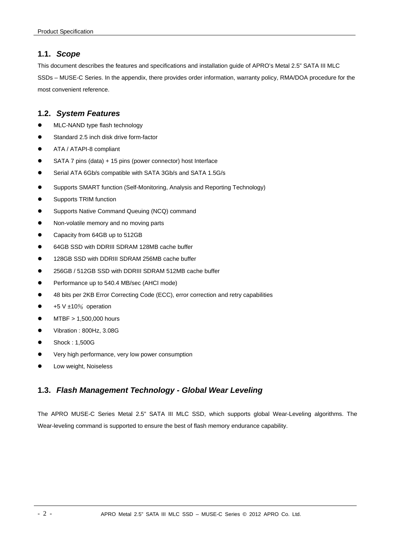## <span id="page-5-0"></span>**1.1.** *Scope*

This document describes the features and specifications and installation guide of APRO's Metal 2.5" SATA III MLC SSDs – MUSE-C Series. In the appendix, there provides order information, warranty policy, RMA/DOA procedure for the most convenient reference.

## **1.2.** *System Features*

- MLC-NAND type flash technology
- Standard 2.5 inch disk drive form-factor
- **•** ATA / ATAPI-8 compliant
- SATA 7 pins (data) + 15 pins (power connector) host Interface
- Serial ATA 6Gb/s compatible with SATA 3Gb/s and SATA 1.5G/s
- Supports SMART function (Self-Monitoring, Analysis and Reporting Technology)
- Supports TRIM function
- **Supports Native Command Queuing (NCQ) command**
- Non-volatile memory and no moving parts
- Capacity from 64GB up to 512GB
- 64GB SSD with DDRIII SDRAM 128MB cache buffer
- $\bullet$  128GB SSD with DDRIII SDRAM 256MB cache buffer
- 256GB / 512GB SSD with DDRIII SDRAM 512MB cache buffer
- Performance up to 540.4 MB/sec (AHCI mode)
- <sup>4</sup> 48 bits per 2KB Error Correcting Code (ECC), error correction and retry capabilities
- $\bullet$  +5 V ±10% operation
- $\bullet$  MTBF > 1,500,000 hours
- Vibration : 800Hz, 3.08G
- Shock: 1,500G
- Very high performance, very low power consumption
- Low weight, Noiseless

## **1.3.** *Flash Management Technology - Global Wear Leveling*

The APRO MUSE-C Series Metal 2.5" SATA III MLC SSD, which supports global Wear-Leveling algorithms. The Wear-leveling command is supported to ensure the best of flash memory endurance capability.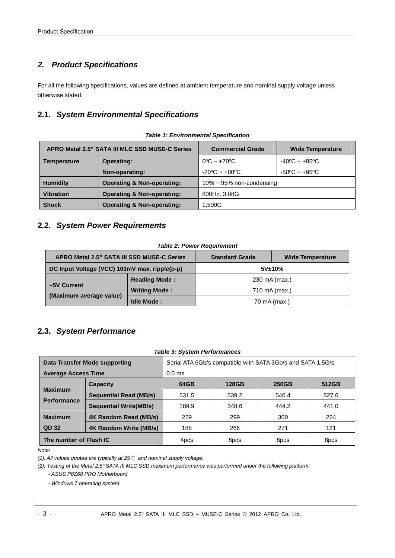## <span id="page-6-0"></span>*2. Product Specifications*

For all the following specifications, values are defined at ambient temperature and nominal supply voltage unless otherwise stated.

## **2.1.** *System Environmental Specifications*

|                    | APRO Metal 2.5" SATA III MLC SSD MUSE-C Series | <b>Commercial Grade</b>           | <b>Wide Temperature</b>           |
|--------------------|------------------------------------------------|-----------------------------------|-----------------------------------|
| <b>Temperature</b> | <b>Operating:</b>                              | $0^{\circ}$ C ~ +70 $^{\circ}$ C  | $-40^{\circ}$ C ~ $+85^{\circ}$ C |
|                    | Non-operating:                                 | $-20^{\circ}$ C ~ $+80^{\circ}$ C | $-50^{\circ}$ C ~ $+95^{\circ}$ C |
| <b>Humidity</b>    | <b>Operating &amp; Non-operating:</b>          | $10\% \sim 95\%$ non-condensing   |                                   |
| <b>Vibration</b>   | <b>Operating &amp; Non-operating:</b>          | 800Hz, 3.08G                      |                                   |
| <b>Shock</b>       | <b>Operating &amp; Non-operating:</b>          | 1,500G                            |                                   |

#### *Table 1: Environmental Specification*

#### **2.2.** *System Power Requirements*

#### *Table 2: Power Requirement*

| APRO Metal 2.5" SATA III SSD MUSE-C Series    |                      | <b>Standard Grade</b> | <b>Wide Temperature</b> |
|-----------------------------------------------|----------------------|-----------------------|-------------------------|
| DC Input Voltage (VCC) 100mV max. ripple(p-p) |                      | 5V±10%                |                         |
|                                               | <b>Reading Mode:</b> | 230 mA (max.)         |                         |
| +5V Current                                   | <b>Writing Mode:</b> | 710 mA (max.)         |                         |
| (Maximum average value)                       | <b>Idle Mode:</b>    | 70 mA (max.)          |                         |

## **2.3.** *System Performance*

#### *Table 3: System Performances*

|                                                                        | <b>Data Transfer Mode supporting</b> | Serial ATA 6Gb/s compatible with SATA 3Gb/s and SATA 1.5G/s |              |       |       |  |  |
|------------------------------------------------------------------------|--------------------------------------|-------------------------------------------------------------|--------------|-------|-------|--|--|
| <b>Average Access Time</b>                                             |                                      | $0.0$ ms                                                    |              |       |       |  |  |
| <b>Capacity</b>                                                        |                                      | 64GB                                                        | <b>128GB</b> | 256GB | 512GB |  |  |
| <b>Maximum</b>                                                         | <b>Sequential Read (MB/s)</b>        | 531.5                                                       | 539.2        | 540.4 | 527.6 |  |  |
| <b>Performance</b>                                                     | <b>Sequential Write(MB/s)</b>        | 189.9                                                       | 348.6        | 444.2 | 441.0 |  |  |
| <b>Maximum</b>                                                         | 4K Random Read (MB/s)                | 229                                                         | 299          | 300   | 224   |  |  |
| QD 32                                                                  | 4K Random Write (MB/s)               | 188                                                         | 266          | 271   | 121   |  |  |
| The number of Flash IC<br>8 <sub>pcs</sub><br>8 <sub>pcs</sub><br>4pcs |                                      | 8pcs                                                        |              |       |       |  |  |

*Note:* 

*(1). All values quoted are typically at 25*℃ *and nominal supply voltage.* 

*(2). Testing of the Metal 2.5" SATA III MLC SSD maximum performance was performed under the following platform: - ASUS P8Z68 PRO Motherboard* 

*- Windows 7 operating system*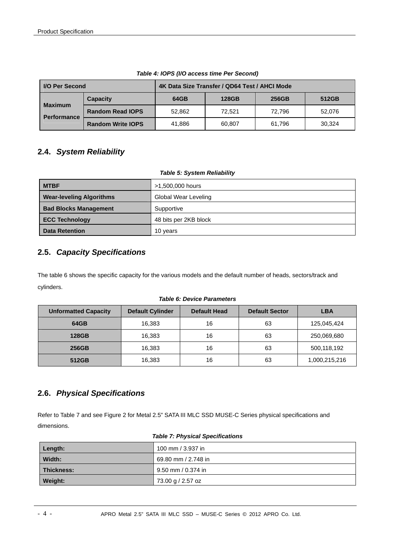<span id="page-7-0"></span>

| I/O Per Second                       |                          | 4K Data Size Transfer / QD64 Test / AHCI Mode |              |        |        |  |
|--------------------------------------|--------------------------|-----------------------------------------------|--------------|--------|--------|--|
|                                      | <b>Capacity</b>          | 64GB                                          | <b>128GB</b> | 256GB  | 512GB  |  |
| <b>Maximum</b><br><b>Performance</b> | <b>Random Read IOPS</b>  | 52.862                                        | 72.521       | 72.796 | 52,076 |  |
|                                      | <b>Random Write IOPS</b> | 41.886                                        | 60.807       | 61.796 | 30.324 |  |

*Table 4: IOPS (I/O access time Per Second)* 

## **2.4.** *System Reliability*

#### *Table 5: System Reliability*

| <b>MTBF</b>                     | >1,500,000 hours      |
|---------------------------------|-----------------------|
| <b>Wear-leveling Algorithms</b> | Global Wear Leveling  |
| <b>Bad Blocks Management</b>    | Supportive            |
| <b>ECC Technology</b>           | 48 bits per 2KB block |
| <b>Data Retention</b>           | 10 years              |

## **2.5.** *Capacity Specifications*

The table 6 shows the specific capacity for the various models and the default number of heads, sectors/track and cylinders.

#### *Table 6: Device Parameters*

| <b>Unformatted Capacity</b> | <b>Default Cylinder</b> | Default Head | <b>Default Sector</b> | <b>LBA</b>    |
|-----------------------------|-------------------------|--------------|-----------------------|---------------|
| 64GB                        | 16.383                  | 16           | 63                    | 125,045,424   |
| <b>128GB</b>                | 16,383                  | 16           | 63                    | 250,069,680   |
| 256GB                       | 16,383                  | 16           | 63                    | 500,118,192   |
| 512GB                       | 16,383                  | 16           | 63                    | 1,000,215,216 |

## **2.6.** *Physical Specifications*

Refer to Table 7 and see Figure 2 for Metal 2.5" SATA III MLC SSD MUSE-C Series physical specifications and dimensions.

| 100 mm / 3.937 in<br>Length: |                     |  |  |  |
|------------------------------|---------------------|--|--|--|
| Width:                       | 69.80 mm / 2.748 in |  |  |  |
| Thickness:                   | 9.50 mm / 0.374 in  |  |  |  |
| Weight:                      | 73.00 g / 2.57 oz   |  |  |  |

#### *Table 7: Physical Specifications*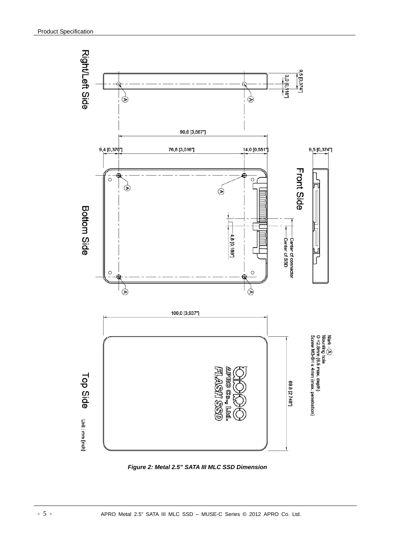<span id="page-8-0"></span>

*Figure 2: Metal 2.5" SATA III MLC SSD Dimension*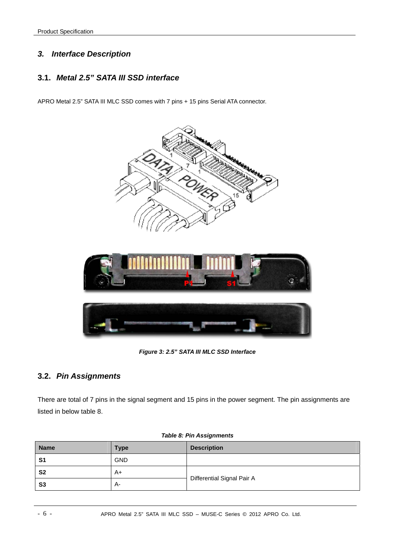## <span id="page-9-0"></span>*3. Interface Description*

## **3.1.** *Metal 2.5" SATA III SSD interface*

APRO Metal 2.5" SATA III MLC SSD comes with 7 pins + 15 pins Serial ATA connector.



*Figure 3: 2.5" SATA III MLC SSD Interface* 

## **3.2.** *Pin Assignments*

There are total of 7 pins in the signal segment and 15 pins in the power segment. The pin assignments are listed in below table 8.

| <b>Name</b>    | <b>Type</b> | <b>Description</b>         |  |
|----------------|-------------|----------------------------|--|
| S <sub>1</sub> | <b>GND</b>  |                            |  |
| S <sub>2</sub> | A+          |                            |  |
| S <sub>3</sub> | $A-$        | Differential Signal Pair A |  |

#### *Table 8: Pin Assignments*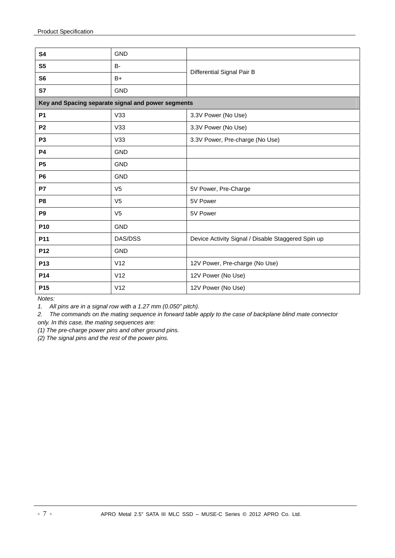| <b>S4</b>       | <b>GND</b>                                         |                                                    |  |  |  |
|-----------------|----------------------------------------------------|----------------------------------------------------|--|--|--|
| S <sub>5</sub>  | B-                                                 | Differential Signal Pair B                         |  |  |  |
| S <sub>6</sub>  | $B+$                                               |                                                    |  |  |  |
| S7              | <b>GND</b>                                         |                                                    |  |  |  |
|                 | Key and Spacing separate signal and power segments |                                                    |  |  |  |
| <b>P1</b>       | V33                                                | 3.3V Power (No Use)                                |  |  |  |
| P <sub>2</sub>  | V33                                                | 3.3V Power (No Use)                                |  |  |  |
| P <sub>3</sub>  | V33                                                | 3.3V Power, Pre-charge (No Use)                    |  |  |  |
| <b>P4</b>       | <b>GND</b>                                         |                                                    |  |  |  |
| <b>P5</b>       | <b>GND</b>                                         |                                                    |  |  |  |
| <b>P6</b>       | <b>GND</b>                                         |                                                    |  |  |  |
| P7              | V <sub>5</sub>                                     | 5V Power, Pre-Charge                               |  |  |  |
| P <sub>8</sub>  | V <sub>5</sub>                                     | 5V Power                                           |  |  |  |
| P <sub>9</sub>  | V <sub>5</sub>                                     | 5V Power                                           |  |  |  |
| P <sub>10</sub> | <b>GND</b>                                         |                                                    |  |  |  |
| P11             | DAS/DSS                                            | Device Activity Signal / Disable Staggered Spin up |  |  |  |
| P <sub>12</sub> | <b>GND</b>                                         |                                                    |  |  |  |
| P <sub>13</sub> | V12                                                | 12V Power, Pre-charge (No Use)                     |  |  |  |
| P14             | V12                                                | 12V Power (No Use)                                 |  |  |  |
| P <sub>15</sub> | V12                                                | 12V Power (No Use)                                 |  |  |  |

*Notes:* 

*1. All pins are in a signal row with a 1.27 mm (0.050" pitch).* 

*2. The commands on the mating sequence in forward table apply to the case of backplane blind mate connector* 

*only. In this case, the mating sequences are:* 

*(1) The pre-charge power pins and other ground pins.* 

*(2) The signal pins and the rest of the power pins.*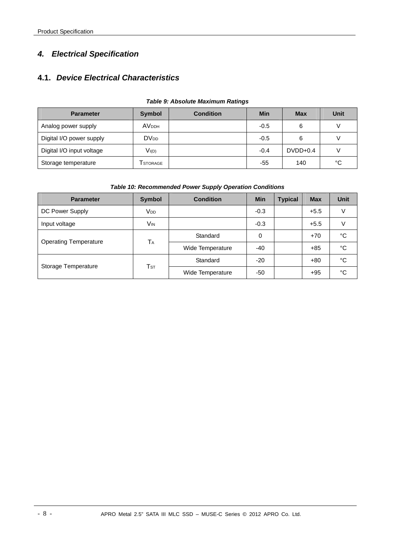## <span id="page-11-0"></span>*4. Electrical Specification*

## **4.1.** *Device Electrical Characteristics*

| <b>Parameter</b>          | <b>Symbol</b>           | <b>Condition</b> | <b>Min</b> | <b>Max</b> | Unit |
|---------------------------|-------------------------|------------------|------------|------------|------|
| Analog power supply       | <b>AV<sub>DDH</sub></b> |                  | $-0.5$     | 6          |      |
| Digital I/O power supply  | <b>DV<sub>DD</sub></b>  |                  | $-0.5$     | 6          |      |
| Digital I/O input voltage | $V_{I(D)}$              |                  | $-0.4$     | $DVDD+0.4$ |      |
| Storage temperature       | Tstorage                |                  | -55        | 140        | °C   |

#### *Table 9: Absolute Maximum Ratings*

#### *Table 10: Recommended Power Supply Operation Conditions*

| <b>Parameter</b>             | <b>Symbol</b>                       | <b>Condition</b> | <b>Min</b> | <b>Typical</b> | <b>Max</b> | <b>Unit</b> |
|------------------------------|-------------------------------------|------------------|------------|----------------|------------|-------------|
| DC Power Supply              | <b>V<sub>DD</sub></b>               |                  | $-0.3$     |                | $+5.5$     | V           |
| Input voltage                | Vin                                 |                  | $-0.3$     |                | $+5.5$     | V           |
|                              | TA                                  | Standard         | 0          |                | $+70$      | °C          |
| <b>Operating Temperature</b> |                                     | Wide Temperature | $-40$      |                | $+85$      | °C          |
|                              | $\mathsf{T}\mathsf{s}\mathsf{\tau}$ | Standard         | $-20$      |                | $+80$      | °C          |
| Storage Temperature          |                                     | Wide Temperature | -50        |                | $+95$      | °C          |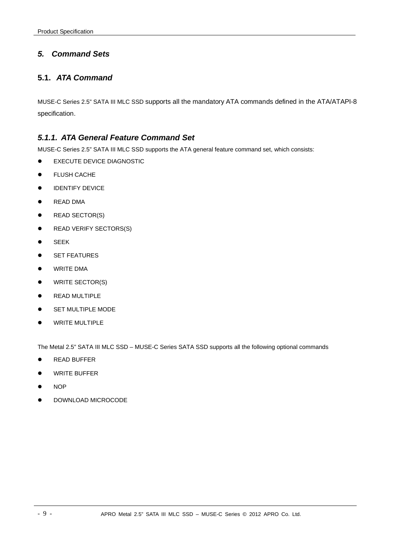## <span id="page-12-0"></span>*5. Command Sets*

## **5.1.** *ATA Command*

MUSE-C Series 2.5" SATA III MLC SSD supports all the mandatory ATA commands defined in the ATA/ATAPI-8 specification.

## *5.1.1. ATA General Feature Command Set*

MUSE-C Series 2.5" SATA III MLC SSD supports the ATA general feature command set, which consists:

- **EXECUTE DEVICE DIAGNOSTIC**
- **•** FLUSH CACHE
- **IDENTIFY DEVICE**
- **•** READ DMA
- $\bullet$  READ SECTOR(S)
- READ VERIFY SECTORS(S)
- **•** SEEK
- **•** SET FEATURES
- **•** WRITE DMA
- $\bullet$  WRITE SECTOR(S)
- **•** READ MULTIPLE
- SET MULTIPLE MODE
- **WRITE MULTIPLE**

The Metal 2.5" SATA III MLC SSD – MUSE-C Series SATA SSD supports all the following optional commands

- **READ BUFFER**
- **•** WRITE BUFFER
- $\bullet$  NOP
- DOWNLOAD MICROCODE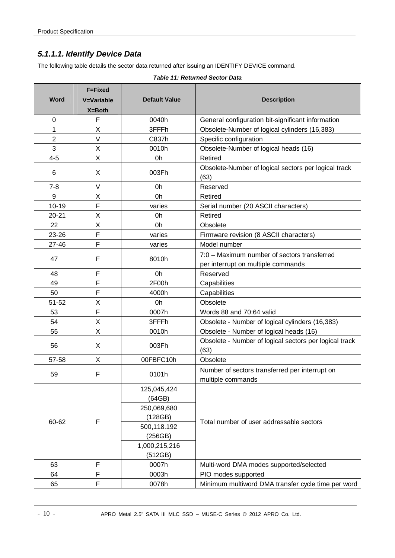## <span id="page-13-0"></span>*5.1.1.1. Identify Device Data*

The following table details the sector data returned after issuing an IDENTIFY DEVICE command.

| Word           | F=Fixed<br><b>V=Variable</b><br>X=Both | <b>Default Value</b>  | <b>Description</b>                                                  |  |
|----------------|----------------------------------------|-----------------------|---------------------------------------------------------------------|--|
| $\mathbf 0$    | $\mathsf F$                            | 0040h                 | General configuration bit-significant information                   |  |
| 1              | X                                      | 3FFFh                 | Obsolete-Number of logical cylinders (16,383)                       |  |
| $\overline{2}$ | $\vee$                                 | C837h                 | Specific configuration                                              |  |
| 3              | X                                      | 0010h                 | Obsolete-Number of logical heads (16)                               |  |
| $4 - 5$        | Χ                                      | 0h                    | Retired                                                             |  |
| 6              | X                                      | 003Fh                 | Obsolete-Number of logical sectors per logical track<br>(63)        |  |
| $7 - 8$        | $\vee$                                 | 0h                    | Reserved                                                            |  |
| 9              | X                                      | 0h                    | Retired                                                             |  |
| $10 - 19$      | F                                      | varies                | Serial number (20 ASCII characters)                                 |  |
| $20 - 21$      | X                                      | 0h                    | Retired                                                             |  |
| 22             | X                                      | 0h                    | Obsolete                                                            |  |
| 23-26          | F                                      | varies                | Firmware revision (8 ASCII characters)                              |  |
| 27-46          | F                                      | varies                | Model number                                                        |  |
| 47             | F                                      | 8010h                 | 7:0 - Maximum number of sectors transferred                         |  |
|                |                                        |                       | per interrupt on multiple commands                                  |  |
| 48             | F                                      | 0h                    | Reserved                                                            |  |
| 49             | F                                      | 2F00h                 | Capabilities                                                        |  |
| 50             | F                                      | 4000h                 | Capabilities                                                        |  |
| 51-52          | X                                      | 0h                    | Obsolete                                                            |  |
| 53             | F                                      | 0007h                 | Words 88 and 70:64 valid                                            |  |
| 54             | Χ                                      | 3FFFh                 | Obsolete - Number of logical cylinders (16,383)                     |  |
| 55             | X                                      | 0010h                 | Obsolete - Number of logical heads (16)                             |  |
| 56             | X                                      | 003Fh                 | Obsolete - Number of logical sectors per logical track<br>(63)      |  |
| 57-58          | X                                      | 00FBFC10h             | Obsolete                                                            |  |
| 59             | F                                      | 0101h                 | Number of sectors transferred per interrupt on<br>multiple commands |  |
|                |                                        | 125,045,424<br>(64GB) |                                                                     |  |
|                |                                        | 250,069,680           |                                                                     |  |
|                |                                        | (128GB)               |                                                                     |  |
| 60-62          | $\mathsf F$                            | 500,118.192           | Total number of user addressable sectors                            |  |
|                |                                        | (256GB)               |                                                                     |  |
|                |                                        | 1,000,215,216         |                                                                     |  |
|                |                                        | (512GB)               |                                                                     |  |
| 63             | F                                      | 0007h                 | Multi-word DMA modes supported/selected                             |  |
| 64             | F                                      | 0003h                 | PIO modes supported                                                 |  |
| 65             | F                                      | 0078h                 | Minimum multiword DMA transfer cycle time per word                  |  |

#### *Table 11: Returned Sector Data*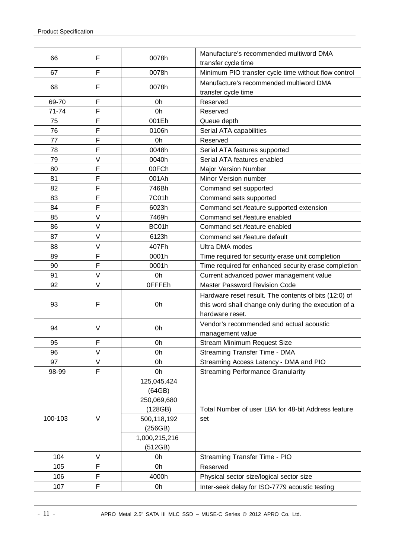| 66      | F      | 0078h                                                | Manufacture's recommended multiword DMA<br>transfer cycle time |  |
|---------|--------|------------------------------------------------------|----------------------------------------------------------------|--|
| 67      | F      | 0078h                                                | Minimum PIO transfer cycle time without flow control           |  |
| 68      | F      | 0078h                                                | Manufacture's recommended multiword DMA<br>transfer cycle time |  |
| 69-70   | F      | 0h                                                   | Reserved                                                       |  |
| 71-74   | F      | 0h                                                   | Reserved                                                       |  |
| 75      | F      | 001Eh                                                | Queue depth                                                    |  |
| 76      | F      | 0106h                                                | Serial ATA capabilities                                        |  |
| 77      | F      | 0h                                                   | Reserved                                                       |  |
| 78      | F      | 0048h                                                | Serial ATA features supported                                  |  |
| 79      | $\vee$ | 0040h                                                | Serial ATA features enabled                                    |  |
| 80      | F      | 00FCh                                                | Major Version Number                                           |  |
| 81      | F      | 001Ah                                                | Minor Version number                                           |  |
| 82      | F      | 746Bh                                                | Command set supported                                          |  |
| 83      | F      | 7C01h                                                | Command sets supported                                         |  |
| 84      | F      | 6023h                                                | Command set /feature supported extension                       |  |
| 85      | $\vee$ | 7469h                                                | Command set /feature enabled                                   |  |
| 86      | $\vee$ | BC01h                                                | Command set /feature enabled                                   |  |
| 87      | $\vee$ | 6123h                                                | Command set /feature default                                   |  |
| 88      | $\vee$ | 407Fh                                                | Ultra DMA modes                                                |  |
| 89      | F      | 0001h                                                | Time required for security erase unit completion               |  |
| 90      | F      | 0001h                                                | Time required for enhanced security erase completion           |  |
| 91      | $\vee$ | 0h                                                   | Current advanced power management value                        |  |
| 92      | $\vee$ | <b>OFFFEh</b>                                        | <b>Master Password Revision Code</b>                           |  |
|         |        |                                                      | Hardware reset result. The contents of bits (12:0) of          |  |
| 93      | F      | 0h                                                   | this word shall change only during the execution of a          |  |
|         |        |                                                      | hardware reset.                                                |  |
|         |        |                                                      | Vendor's recommended and actual acoustic                       |  |
| 94      | $\vee$ | 0h                                                   | management value                                               |  |
| 95      | F      | 0h                                                   | Stream Minimum Request Size                                    |  |
| 96      | V      | 0h                                                   | Streaming Transfer Time - DMA                                  |  |
| 97      | V      | 0h                                                   | Streaming Access Latency - DMA and PIO                         |  |
| 98-99   | F      | 0h                                                   | <b>Streaming Performance Granularity</b>                       |  |
|         |        | 125,045,424                                          |                                                                |  |
|         |        | (64GB)                                               |                                                                |  |
|         |        | 250,069,680                                          |                                                                |  |
|         |        | (128GB)                                              | Total Number of user LBA for 48-bit Address feature            |  |
| 100-103 | V      | 500,118,192                                          | set                                                            |  |
|         |        | (256GB)                                              |                                                                |  |
|         |        | 1,000,215,216                                        |                                                                |  |
|         |        | (512GB)                                              |                                                                |  |
| 104     | V      | 0h                                                   | Streaming Transfer Time - PIO                                  |  |
| 105     | F      | 0h                                                   | Reserved                                                       |  |
| 106     | F      | 4000h                                                | Physical sector size/logical sector size                       |  |
| 107     | F      | 0h<br>Inter-seek delay for ISO-7779 acoustic testing |                                                                |  |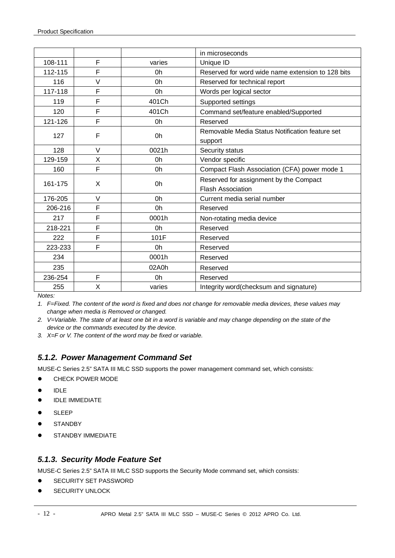|         |        |                                                    | in microseconds                                   |
|---------|--------|----------------------------------------------------|---------------------------------------------------|
|         |        |                                                    |                                                   |
| 108-111 | F      | varies                                             | Unique ID                                         |
| 112-115 | F      | 0h                                                 | Reserved for word wide name extension to 128 bits |
| 116     | $\vee$ | 0h                                                 | Reserved for technical report                     |
| 117-118 | F      | 0h                                                 | Words per logical sector                          |
| 119     | F      | 401Ch                                              | Supported settings                                |
| 120     | F      | 401Ch                                              | Command set/feature enabled/Supported             |
| 121-126 | F      | 0h                                                 | Reserved                                          |
|         | F      |                                                    | Removable Media Status Notification feature set   |
| 127     |        | 0h                                                 | support                                           |
| 128     | $\vee$ | 0021h                                              | Security status                                   |
| 129-159 | X      | Vendor specific<br>0h                              |                                                   |
| 160     | F      | Compact Flash Association (CFA) power mode 1<br>0h |                                                   |
| 161-175 | X      | 0h                                                 | Reserved for assignment by the Compact            |
|         |        |                                                    | <b>Flash Association</b>                          |
| 176-205 | $\vee$ | 0h<br>Current media serial number                  |                                                   |
| 206-216 | F      | 0h                                                 | Reserved                                          |
| 217     | F      | 0001h                                              | Non-rotating media device                         |
| 218-221 | F      | 0h                                                 | Reserved                                          |
| 222     | F      | 101F                                               | Reserved                                          |
| 223-233 | F      | 0h                                                 | Reserved                                          |
| 234     |        | 0001h                                              | Reserved                                          |
| 235     |        | 02A0h                                              | Reserved                                          |
| 236-254 | F      | 0h                                                 | Reserved                                          |
| 255     | X      | varies                                             | Integrity word(checksum and signature)            |

*Notes:* 

*1. F=Fixed. The content of the word is fixed and does not change for removable media devices, these values may change when media is Removed or changed.* 

- *2. V=Variable. The state of at least one bit in a word is variable and may change depending on the state of the device or the commands executed by the device.*
- *3. X=F or V. The content of the word may be fixed or variable.*

## *5.1.2. Power Management Command Set*

MUSE-C Series 2.5" SATA III MLC SSD supports the power management command set, which consists:

- **•** CHECK POWER MODE
- $\bullet$  IDLE
- **IDLE IMMEDIATE**
- $\bullet$  SLEEP
- **•** STANDBY
- STANDBY IMMEDIATE

## *5.1.3. Security Mode Feature Set*

MUSE-C Series 2.5" SATA III MLC SSD supports the Security Mode command set, which consists:

- SECURITY SET PASSWORD
- SECURITY UNLOCK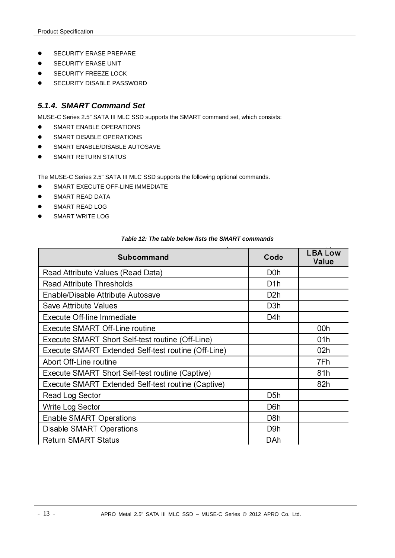- <span id="page-16-0"></span>**•** SECURITY ERASE PREPARE
- **SECURITY ERASE UNIT**
- **•** SECURITY FREEZE LOCK
- **•** SECURITY DISABLE PASSWORD

### *5.1.4. SMART Command Set*

MUSE-C Series 2.5" SATA III MLC SSD supports the SMART command set, which consists:

- **SMART ENABLE OPERATIONS**
- **•** SMART DISABLE OPERATIONS
- **SMART ENABLE/DISABLE AUTOSAVE**
- **•** SMART RETURN STATUS

The MUSE-C Series 2.5" SATA III MLC SSD supports the following optional commands.

- **SMART EXECUTE OFF-LINE IMMEDIATE**
- **SMART READ DATA**
- **SMART READ LOG**
- **SMART WRITE LOG**

| Subcommand                                          | Code             | <b>LBA Low</b><br>Value |
|-----------------------------------------------------|------------------|-------------------------|
| Read Attribute Values (Read Data)                   | D0h              |                         |
| Read Attribute Thresholds                           | D1h              |                         |
| Enable/Disable Attribute Autosave                   | D <sub>2</sub> h |                         |
| Save Attribute Values                               | D3h              |                         |
| Execute Off-line Immediate                          | D4h              |                         |
| Execute SMART Off-Line routine                      |                  | 00h                     |
| Execute SMART Short Self-test routine (Off-Line)    |                  | 01h                     |
| Execute SMART Extended Self-test routine (Off-Line) |                  | 02h                     |
| Abort Off-Line routine                              |                  | 7Fh                     |
| Execute SMART Short Self-test routine (Captive)     |                  | 81h                     |
| Execute SMART Extended Self-test routine (Captive)  |                  | 82h                     |
| Read Log Sector                                     | D <sub>5</sub> h |                         |
| Write Log Sector                                    | D6h              |                         |
| Enable SMART Operations                             | D8h              |                         |
| Disable SMART Operations                            | D9h              |                         |
| <b>Return SMART Status</b>                          | DAh              |                         |

#### *Table 12: The table below lists the SMART commands*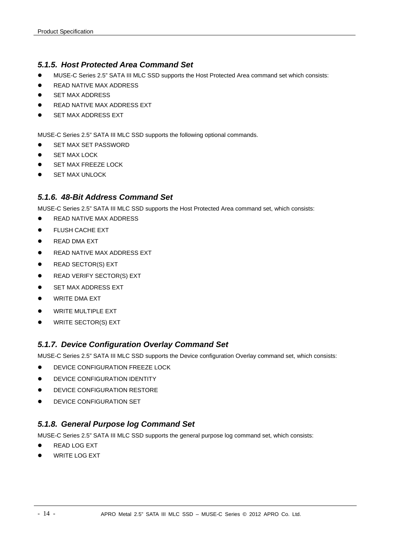## *5.1.5. Host Protected Area Command Set*

- MUSE-C Series 2.5" SATA III MLC SSD supports the Host Protected Area command set which consists:
- **READ NATIVE MAX ADDRESS**
- SET MAX ADDRESS
- READ NATIVE MAX ADDRESS EXT
- SET MAX ADDRESS EXT

MUSE-C Series 2.5" SATA III MLC SSD supports the following optional commands.

- SET MAX SET PASSWORD
- **SET MAX LOCK**
- SET MAX FREEZE LOCK
- SET MAX UNLOCK

### *5.1.6. 48-Bit Address Command Set*

MUSE-C Series 2.5" SATA III MLC SSD supports the Host Protected Area command set, which consists:

- READ NATIVE MAX ADDRESS
- **•** FLUSH CACHE EXT
- **READ DMA EXT**
- **READ NATIVE MAX ADDRESS EXT**
- **•** READ SECTOR(S) EXT
- READ VERIFY SECTOR(S) EXT
- **SET MAX ADDRESS EXT**
- **•** WRITE DMA EXT
- WRITE MULTIPLE EXT
- WRITE SECTOR(S) EXT

## *5.1.7. Device Configuration Overlay Command Set*

MUSE-C Series 2.5" SATA III MLC SSD supports the Device configuration Overlay command set, which consists:

- **DEVICE CONFIGURATION FREEZE LOCK**
- **•** DEVICE CONFIGURATION IDENTITY
- **DEVICE CONFIGURATION RESTORE**
- DEVICE CONFIGURATION SET

## *5.1.8. General Purpose log Command Set*

MUSE-C Series 2.5" SATA III MLC SSD supports the general purpose log command set, which consists:

- READ LOG EXT
- WRITE LOG EXT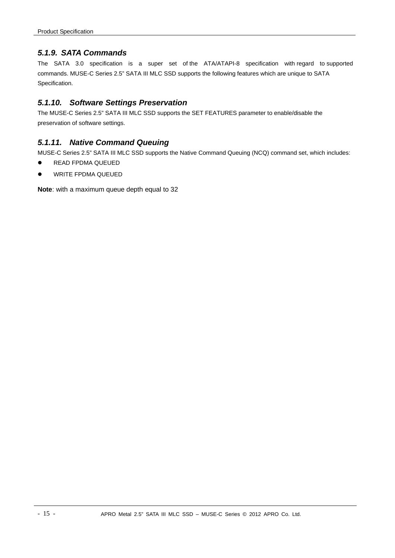## *5.1.9. SATA Commands*

The SATA 3.0 specification is a super set of the ATA/ATAPI-8 specification with regard to supported commands. MUSE-C Series 2.5" SATA III MLC SSD supports the following features which are unique to SATA Specification.

## *5.1.10. Software Settings Preservation*

The MUSE-C Series 2.5" SATA III MLC SSD supports the SET FEATURES parameter to enable/disable the preservation of software settings.

## *5.1.11. Native Command Queuing*

MUSE-C Series 2.5" SATA III MLC SSD supports the Native Command Queuing (NCQ) command set, which includes:

- **READ FPDMA QUEUED**
- WRITE FPDMA QUEUED

**Note**: with a maximum queue depth equal to 32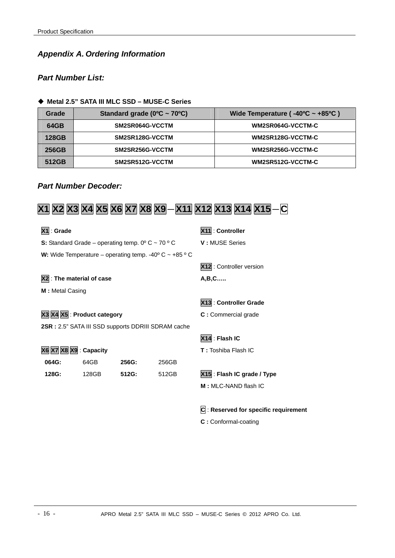## <span id="page-19-0"></span>*Appendix A. Ordering Information*

## *Part Number List:*

#### **Metal 2.5" SATA III MLC SSD – MUSE-C Series**

| Grade | Standard grade ( $0^{\circ}$ C ~ 70 $^{\circ}$ C) | Wide Temperature ( $-40^{\circ}$ C ~ $+85^{\circ}$ C) |
|-------|---------------------------------------------------|-------------------------------------------------------|
| 64GB  | SM2SR064G-VCCTM                                   | WM2SR064G-VCCTM-C                                     |
| 128GB | SM2SR128G-VCCTM                                   | WM2SR128G-VCCTM-C                                     |
| 256GB | SM2SR256G-VCCTM                                   | WM2SR256G-VCCTM-C                                     |
| 512GB | SM2SR512G-VCCTM                                   | WM2SR512G-VCCTM-C                                     |

## *Part Number Decoder:*

## **X1 X2 X3 X4 X5 X6 X7 X8 X9**-**X11 X12 X13 X14 X15**-**C**

| $X1:$ Grade                                                         |                           |       |                                                                         | X11: Controller                           |  |
|---------------------------------------------------------------------|---------------------------|-------|-------------------------------------------------------------------------|-------------------------------------------|--|
| S: Standard Grade – operating temp. $0^{\circ}$ C ~ 70 $^{\circ}$ C |                           |       | V: MUSE Series                                                          |                                           |  |
|                                                                     |                           |       | W: Wide Temperature – operating temp. -40 $\degree$ C ~ +85 $\degree$ C |                                           |  |
|                                                                     |                           |       |                                                                         | X12: Controller version                   |  |
|                                                                     | X2 : The material of case |       |                                                                         | $A,B,C$                                   |  |
| M: Metal Casing                                                     |                           |       |                                                                         |                                           |  |
|                                                                     |                           |       |                                                                         | X13 : Controller Grade                    |  |
| X3 X4 X5 : Product category                                         |                           |       | C: Commercial grade                                                     |                                           |  |
| 2SR : 2.5" SATA III SSD supports DDRIII SDRAM cache                 |                           |       |                                                                         |                                           |  |
|                                                                     |                           |       |                                                                         | X14: Flash IC                             |  |
| X6 X7 X8 X9 : Capacity                                              |                           |       |                                                                         | <b>T</b> : Toshiba Flash IC               |  |
| 064G:                                                               | 64GB                      | 256G: | 256GB                                                                   |                                           |  |
| 128G:                                                               | 128GB                     | 512G: | 512GB                                                                   | X15 : Flash IC grade / Type               |  |
|                                                                     |                           |       |                                                                         | M: MLC-NAND flash IC                      |  |
|                                                                     |                           |       |                                                                         |                                           |  |
|                                                                     |                           |       |                                                                         | $ C $ : Reserved for specific requirement |  |
|                                                                     |                           |       |                                                                         | C: Conformal-coating                      |  |